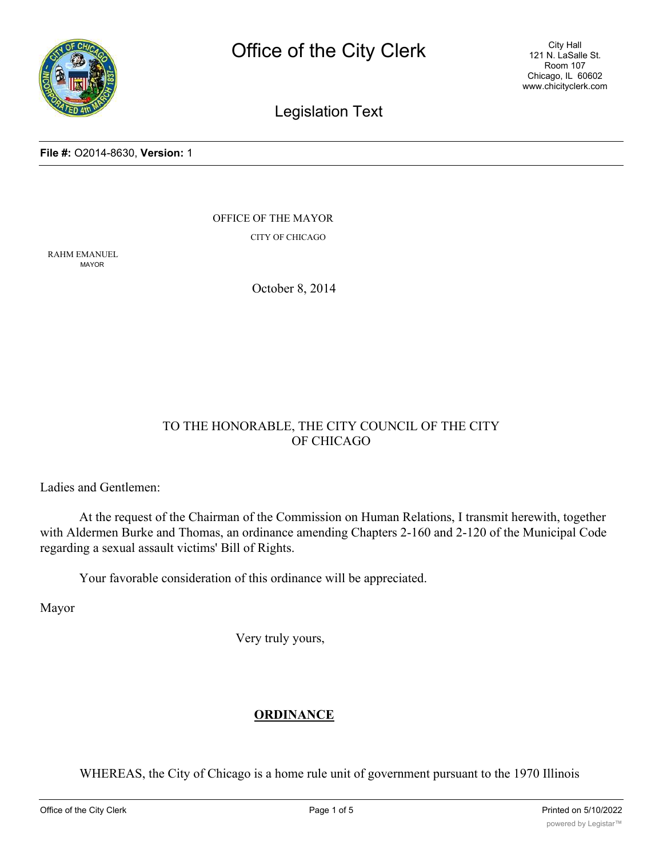

City Hall 121 N. LaSalle St. Room 107 Chicago, IL 60602 www.chicityclerk.com

# Legislation Text

#### **File #:** O2014-8630, **Version:** 1

OFFICE OF THE MAYOR CITY OF CHICAGO

RAHM EMANUEL MAYOR

October 8, 2014

### TO THE HONORABLE, THE CITY COUNCIL OF THE CITY OF CHICAGO

Ladies and Gentlemen:

At the request of the Chairman of the Commission on Human Relations, I transmit herewith, together with Aldermen Burke and Thomas, an ordinance amending Chapters 2-160 and 2-120 of the Municipal Code regarding a sexual assault victims' Bill of Rights.

Your favorable consideration of this ordinance will be appreciated.

Mayor

Very truly yours,

### **ORDINANCE**

WHEREAS, the City of Chicago is a home rule unit of government pursuant to the 1970 Illinois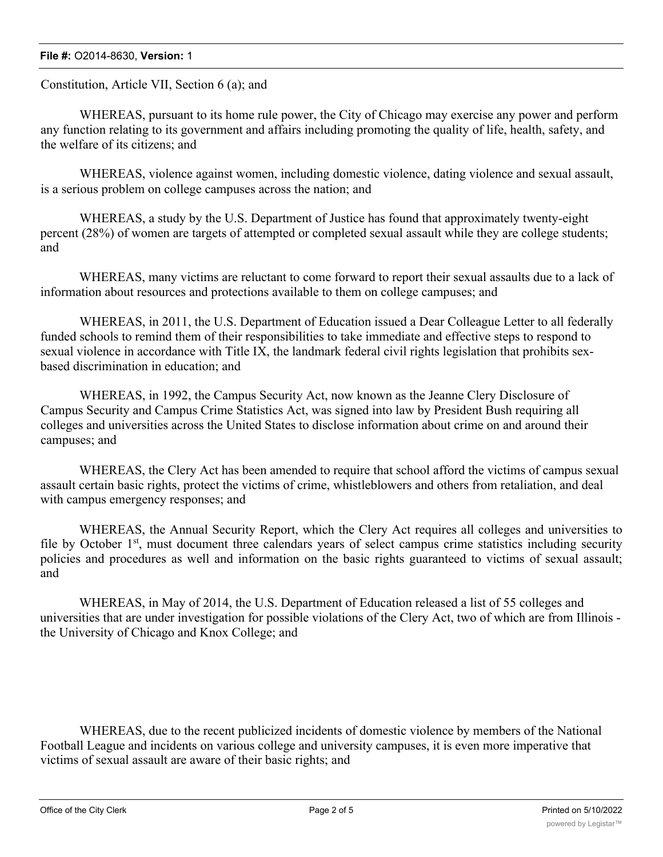Constitution, Article VII, Section 6 (a); and

WHEREAS, pursuant to its home rule power, the City of Chicago may exercise any power and perform any function relating to its government and affairs including promoting the quality of life, health, safety, and the welfare of its citizens; and

WHEREAS, violence against women, including domestic violence, dating violence and sexual assault, is a serious problem on college campuses across the nation; and

WHEREAS, a study by the U.S. Department of Justice has found that approximately twenty-eight percent (28%) of women are targets of attempted or completed sexual assault while they are college students; and

WHEREAS, many victims are reluctant to come forward to report their sexual assaults due to a lack of information about resources and protections available to them on college campuses; and

WHEREAS, in 2011, the U.S. Department of Education issued a Dear Colleague Letter to all federally funded schools to remind them of their responsibilities to take immediate and effective steps to respond to sexual violence in accordance with Title IX, the landmark federal civil rights legislation that prohibits sexbased discrimination in education; and

WHEREAS, in 1992, the Campus Security Act, now known as the Jeanne Clery Disclosure of Campus Security and Campus Crime Statistics Act, was signed into law by President Bush requiring all colleges and universities across the United States to disclose information about crime on and around their campuses; and

WHEREAS, the Clery Act has been amended to require that school afford the victims of campus sexual assault certain basic rights, protect the victims of crime, whistleblowers and others from retaliation, and deal with campus emergency responses; and

WHEREAS, the Annual Security Report, which the Clery Act requires all colleges and universities to file by October  $1<sup>st</sup>$ , must document three calendars years of select campus crime statistics including security policies and procedures as well and information on the basic rights guaranteed to victims of sexual assault; and

WHEREAS, in May of 2014, the U.S. Department of Education released a list of 55 colleges and universities that are under investigation for possible violations of the Clery Act, two of which are from Illinois the University of Chicago and Knox College; and

WHEREAS, due to the recent publicized incidents of domestic violence by members of the National Football League and incidents on various college and university campuses, it is even more imperative that victims of sexual assault are aware of their basic rights; and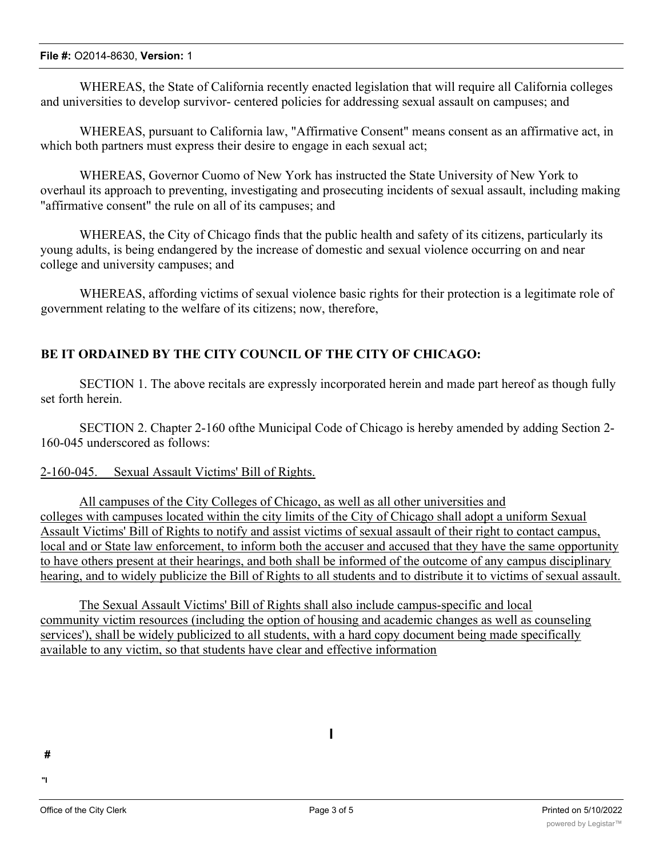WHEREAS, the State of California recently enacted legislation that will require all California colleges and universities to develop survivor- centered policies for addressing sexual assault on campuses; and

WHEREAS, pursuant to California law, "Affirmative Consent" means consent as an affirmative act, in which both partners must express their desire to engage in each sexual act;

WHEREAS, Governor Cuomo of New York has instructed the State University of New York to overhaul its approach to preventing, investigating and prosecuting incidents of sexual assault, including making "affirmative consent" the rule on all of its campuses; and

WHEREAS, the City of Chicago finds that the public health and safety of its citizens, particularly its young adults, is being endangered by the increase of domestic and sexual violence occurring on and near college and university campuses; and

WHEREAS, affording victims of sexual violence basic rights for their protection is a legitimate role of government relating to the welfare of its citizens; now, therefore,

## **BE IT ORDAINED BY THE CITY COUNCIL OF THE CITY OF CHICAGO:**

SECTION 1. The above recitals are expressly incorporated herein and made part hereof as though fully set forth herein.

SECTION 2. Chapter 2-160 ofthe Municipal Code of Chicago is hereby amended by adding Section 2- 160-045 underscored as follows:

### 2-160-045. Sexual Assault Victims' Bill of Rights.

All campuses of the City Colleges of Chicago, as well as all other universities and colleges with campuses located within the city limits of the City of Chicago shall adopt a uniform Sexual Assault Victims' Bill of Rights to notify and assist victims of sexual assault of their right to contact campus, local and or State law enforcement, to inform both the accuser and accused that they have the same opportunity to have others present at their hearings, and both shall be informed of the outcome of any campus disciplinary hearing, and to widely publicize the Bill of Rights to all students and to distribute it to victims of sexual assault.

The Sexual Assault Victims' Bill of Rights shall also include campus-specific and local community victim resources (including the option of housing and academic changes as well as counseling services'), shall be widely publicized to all students, with a hard copy document being made specifically available to any victim, so that students have clear and effective information

**#**

**"I**

**I**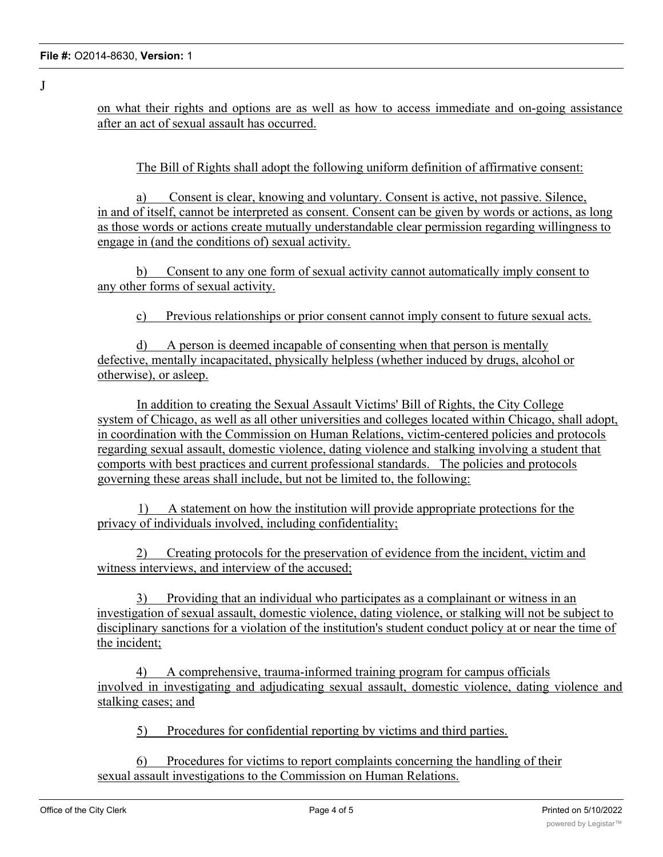on what their rights and options are as well as how to access immediate and on-going assistance after an act of sexual assault has occurred.

The Bill of Rights shall adopt the following uniform definition of affirmative consent:

a) Consent is clear, knowing and voluntary. Consent is active, not passive. Silence, in and of itself, cannot be interpreted as consent. Consent can be given by words or actions, as long as those words or actions create mutually understandable clear permission regarding willingness to engage in (and the conditions of) sexual activity.

b) Consent to any one form of sexual activity cannot automatically imply consent to any other forms of sexual activity.

c) Previous relationships or prior consent cannot imply consent to future sexual acts.

d) A person is deemed incapable of consenting when that person is mentally defective, mentally incapacitated, physically helpless (whether induced by drugs, alcohol or otherwise), or asleep.

In addition to creating the Sexual Assault Victims' Bill of Rights, the City College system of Chicago, as well as all other universities and colleges located within Chicago, shall adopt, in coordination with the Commission on Human Relations, victim-centered policies and protocols regarding sexual assault, domestic violence, dating violence and stalking involving a student that comports with best practices and current professional standards. The policies and protocols governing these areas shall include, but not be limited to, the following:

1) A statement on how the institution will provide appropriate protections for the privacy of individuals involved, including confidentiality;

2) Creating protocols for the preservation of evidence from the incident, victim and witness interviews, and interview of the accused;

3) Providing that an individual who participates as a complainant or witness in an investigation of sexual assault, domestic violence, dating violence, or stalking will not be subject to disciplinary sanctions for a violation of the institution's student conduct policy at or near the time of the incident;

4) A comprehensive, trauma-informed training program for campus officials involved in investigating and adjudicating sexual assault, domestic violence, dating violence and stalking cases; and

5) Procedures for confidential reporting by victims and third parties.

6) Procedures for victims to report complaints concerning the handling of their sexual assault investigations to the Commission on Human Relations.

J